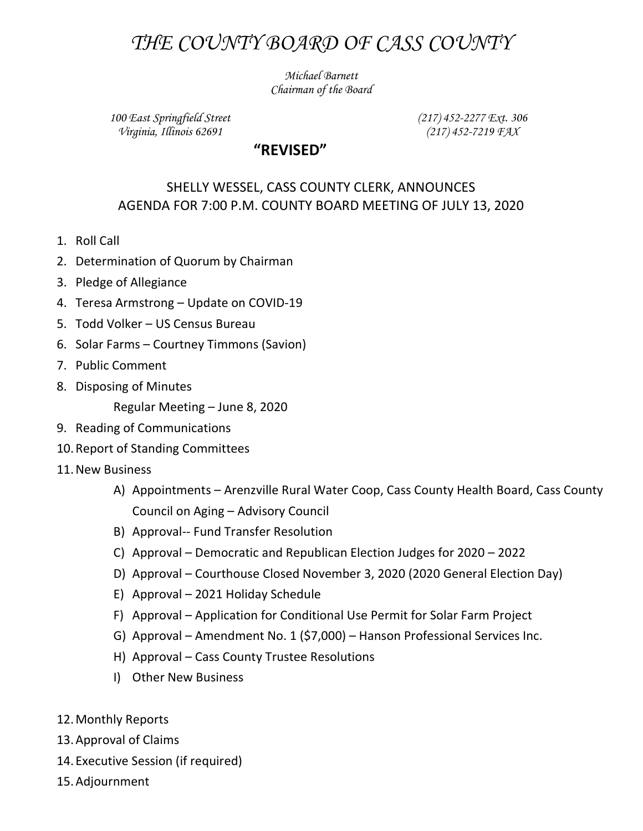## THE COUNTY BOARD OF CASS COUNTY

Michael Barnett Chairman of the Board

100 East Springfield Street Virginia, Illinois 62691

(217) 452-2277 Ext. 306 (217) 452-7219 FAX

## "REVISED"

## SHELLY WESSEL, CASS COUNTY CLERK, ANNOUNCES AGENDA FOR 7:00 P.M. COUNTY BOARD MEETING OF JULY 13, 2020

- 1. Roll Call
- 2. Determination of Quorum by Chairman
- 3. Pledge of Allegiance
- 4. Teresa Armstrong Update on COVID-19
- 5. Todd Volker US Census Bureau
- 6. Solar Farms Courtney Timmons (Savion)
- 7. Public Comment
- 8. Disposing of Minutes

Regular Meeting – June 8, 2020

- 9. Reading of Communications
- 10.Report of Standing Committees
- 11.New Business
	- A) Appointments Arenzville Rural Water Coop, Cass County Health Board, Cass County Council on Aging – Advisory Council
	- B) Approval-- Fund Transfer Resolution
	- C) Approval Democratic and Republican Election Judges for 2020 2022
	- D) Approval Courthouse Closed November 3, 2020 (2020 General Election Day)
	- E) Approval 2021 Holiday Schedule
	- F) Approval Application for Conditional Use Permit for Solar Farm Project
	- G) Approval Amendment No. 1 (\$7,000) Hanson Professional Services Inc.
	- H) Approval Cass County Trustee Resolutions
	- I) Other New Business
- 12.Monthly Reports
- 13.Approval of Claims
- 14. Executive Session (if required)
- 15.Adjournment